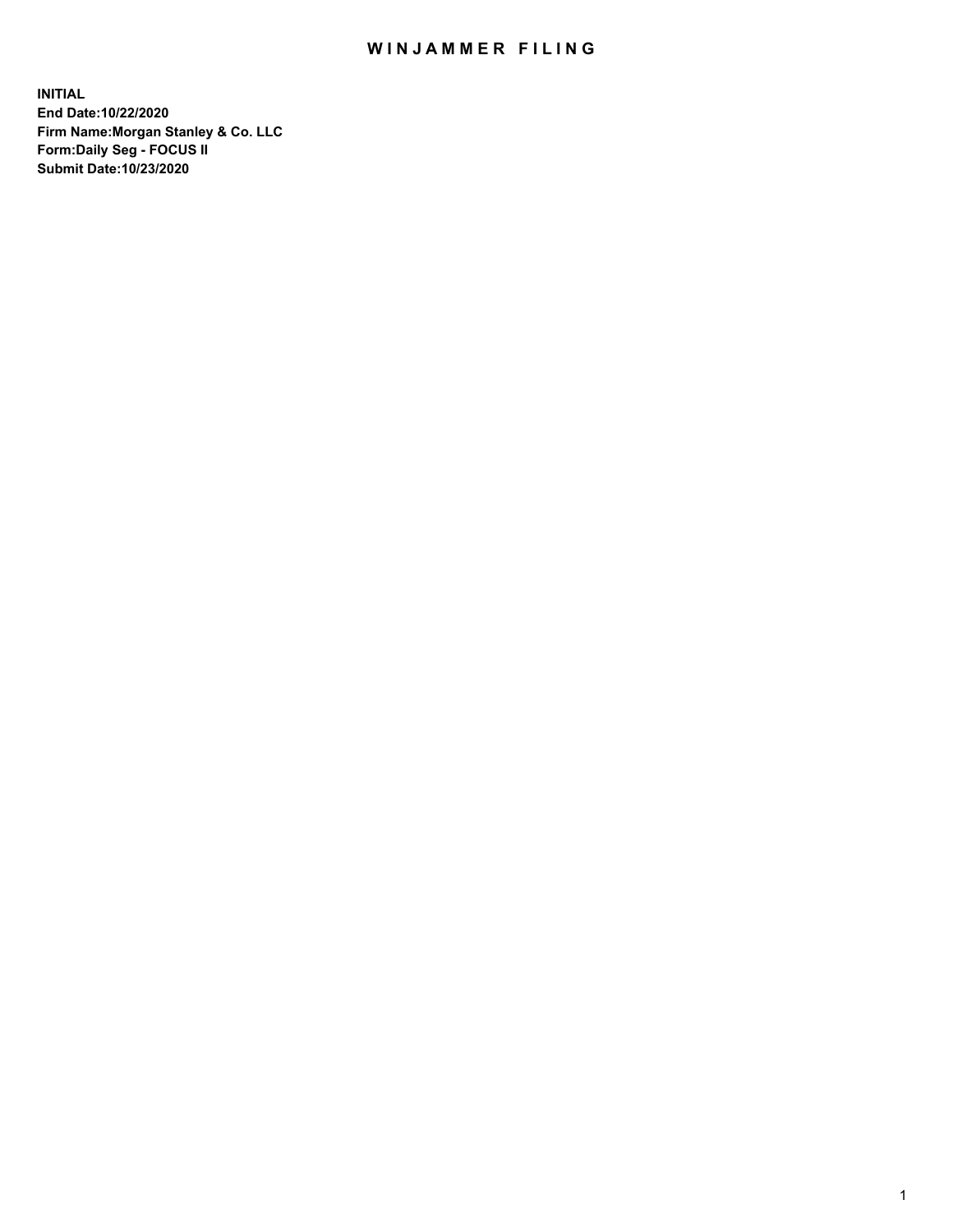## WIN JAMMER FILING

**INITIAL End Date:10/22/2020 Firm Name:Morgan Stanley & Co. LLC Form:Daily Seg - FOCUS II Submit Date:10/23/2020**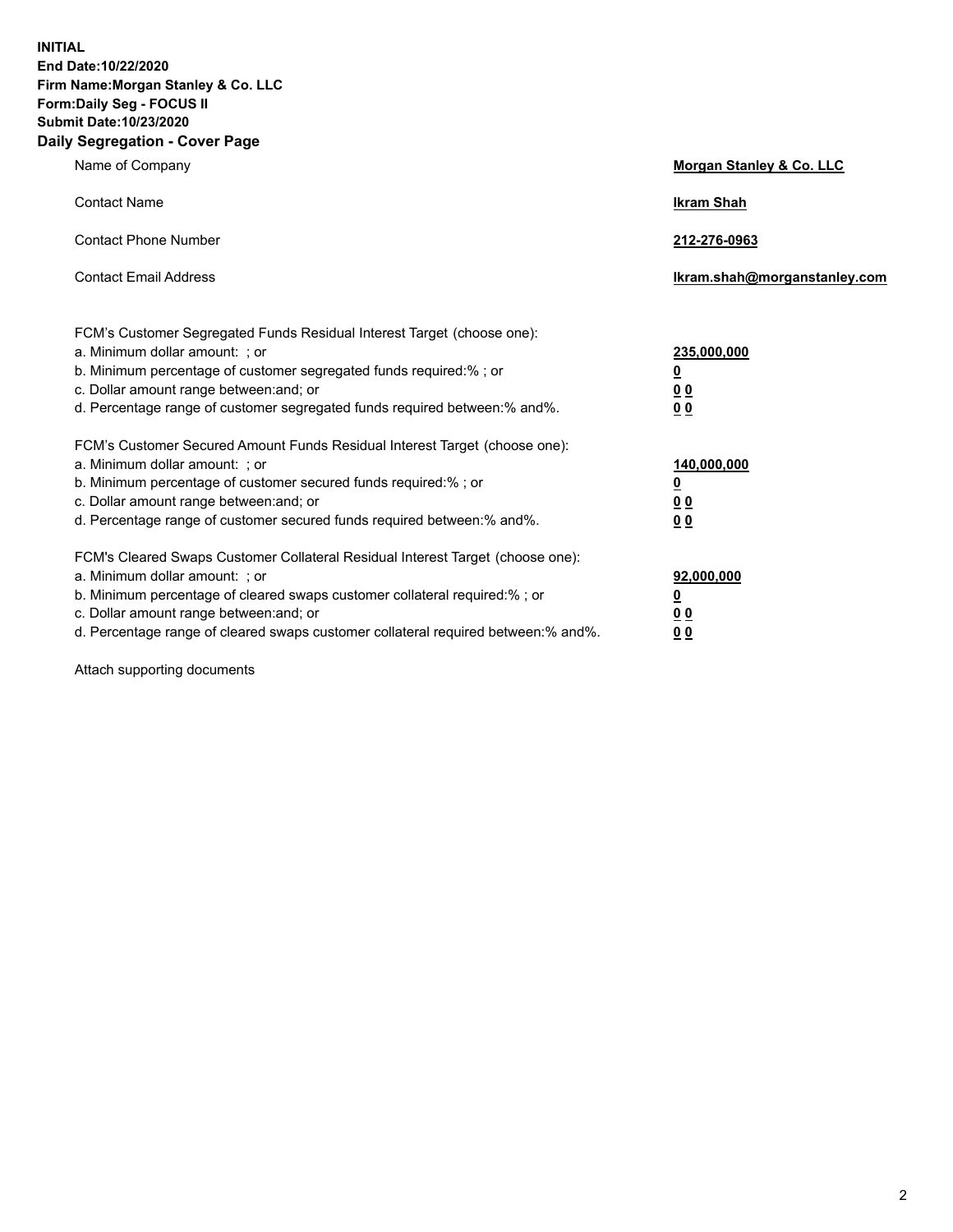**INITIAL End Date:10/22/2020 Firm Name:Morgan Stanley & Co. LLC Form:Daily Seg - FOCUS II Submit Date:10/23/2020 Daily Segregation - Cover Page**

| Name of Company                                                                                                                                                                                                                                                                                                                | Morgan Stanley & Co. LLC                               |
|--------------------------------------------------------------------------------------------------------------------------------------------------------------------------------------------------------------------------------------------------------------------------------------------------------------------------------|--------------------------------------------------------|
| <b>Contact Name</b>                                                                                                                                                                                                                                                                                                            | <b>Ikram Shah</b>                                      |
| <b>Contact Phone Number</b>                                                                                                                                                                                                                                                                                                    | 212-276-0963                                           |
| <b>Contact Email Address</b>                                                                                                                                                                                                                                                                                                   | Ikram.shah@morganstanley.com                           |
| FCM's Customer Segregated Funds Residual Interest Target (choose one):<br>a. Minimum dollar amount: ; or<br>b. Minimum percentage of customer segregated funds required:% ; or<br>c. Dollar amount range between: and; or<br>d. Percentage range of customer segregated funds required between:% and%.                         | 235,000,000<br><u>0</u><br><u>00</u><br>0 <sub>0</sub> |
| FCM's Customer Secured Amount Funds Residual Interest Target (choose one):<br>a. Minimum dollar amount: ; or<br>b. Minimum percentage of customer secured funds required:% ; or<br>c. Dollar amount range between: and; or<br>d. Percentage range of customer secured funds required between:% and%.                           | 140,000,000<br><u>0</u><br>0 <sub>0</sub><br>00        |
| FCM's Cleared Swaps Customer Collateral Residual Interest Target (choose one):<br>a. Minimum dollar amount: ; or<br>b. Minimum percentage of cleared swaps customer collateral required:% ; or<br>c. Dollar amount range between: and; or<br>d. Percentage range of cleared swaps customer collateral required between:% and%. | 92,000,000<br><u>0</u><br><u>00</u><br>00              |

Attach supporting documents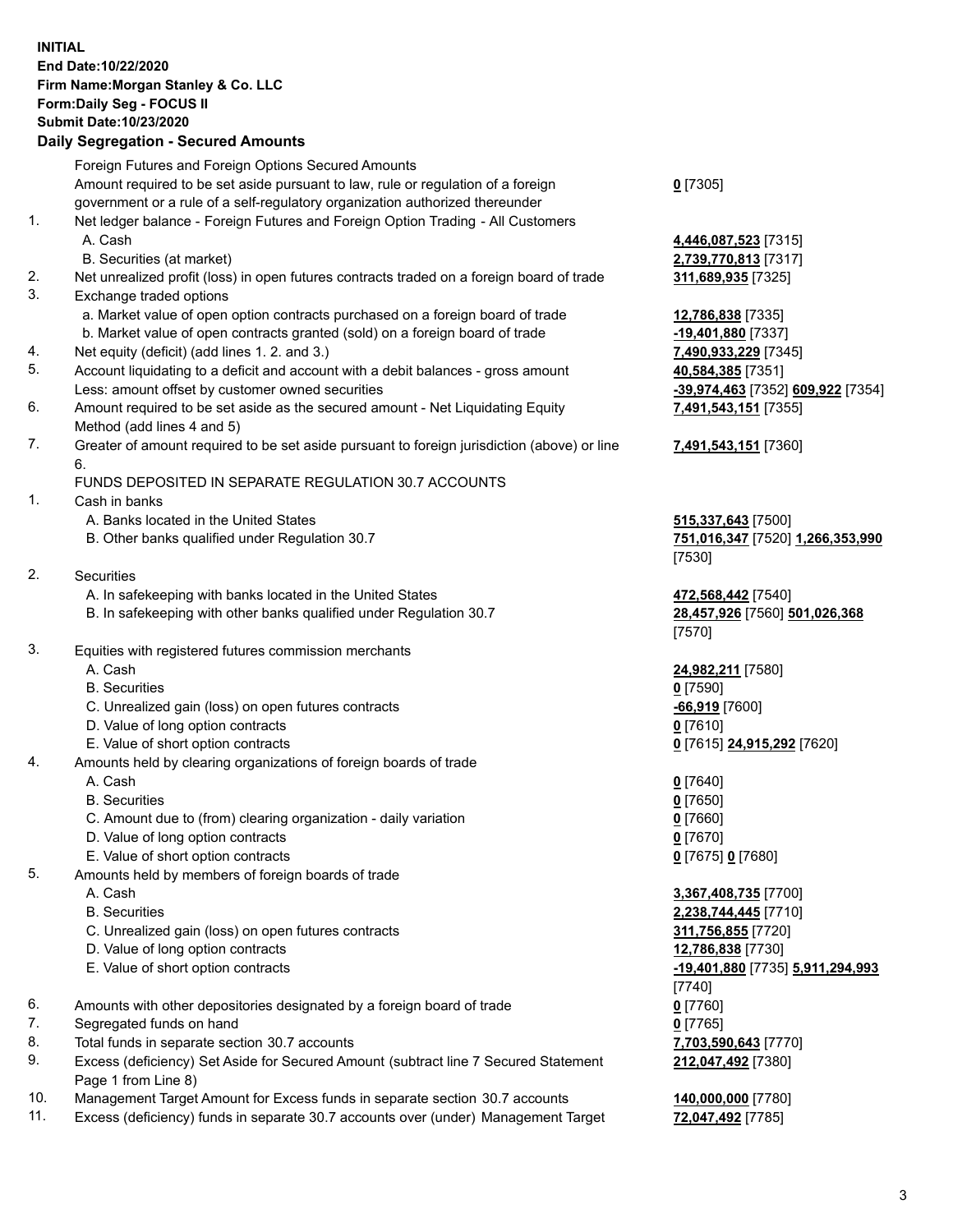## **INITIAL End Date:10/22/2020 Firm Name:Morgan Stanley & Co. LLC Form:Daily Seg - FOCUS II Submit Date:10/23/2020**

## **Daily Segregation - Secured Amounts**

Foreign Futures and Foreign Options Secured Amounts Amount required to be set aside pursuant to law, rule or regulation of a foreign government or a rule of a self-regulatory organization authorized thereunder 1. Net ledger balance - Foreign Futures and Foreign Option Trading - All Customers A. Cash **4,446,087,523** [7315] B. Securities (at market) **2,739,770,813** [7317] 2. Net unrealized profit (loss) in open futures contracts traded on a foreign board of trade **311,689,935** [7325] 3. Exchange traded options a. Market value of open option contracts purchased on a foreign board of trade **12,786,838** [7335] b. Market value of open contracts granted (sold) on a foreign board of trade **-19,401,880** [7337] 4. Net equity (deficit) (add lines 1. 2. and 3.) **7,490,933,229** [7345] 5. Account liquidating to a deficit and account with a debit balances - gross amount **40,584,385** [7351] Less: amount offset by customer owned securities **-39,974,463** [7352] **609,922** [7354] 6. Amount required to be set aside as the secured amount - Net Liquidating Equity Method (add lines 4 and 5) 7. Greater of amount required to be set aside pursuant to foreign jurisdiction (above) or line 6. FUNDS DEPOSITED IN SEPARATE REGULATION 30.7 ACCOUNTS 1. Cash in banks A. Banks located in the United States **515,337,643** [7500] B. Other banks qualified under Regulation 30.7 **751,016,347** [7520] **1,266,353,990** 2. Securities A. In safekeeping with banks located in the United States **472,568,442** [7540] B. In safekeeping with other banks qualified under Regulation 30.7 **28,457,926** [7560] **501,026,368** 3. Equities with registered futures commission merchants A. Cash **24,982,211** [7580] B. Securities **0** [7590] C. Unrealized gain (loss) on open futures contracts **-66,919** [7600] D. Value of long option contracts **0** [7610] E. Value of short option contracts **0** [7615] **24,915,292** [7620] 4. Amounts held by clearing organizations of foreign boards of trade A. Cash **0** [7640] B. Securities **0** [7650] C. Amount due to (from) clearing organization - daily variation **0** [7660] D. Value of long option contracts **0** [7670] E. Value of short option contracts **0** [7675] **0** [7680] 5. Amounts held by members of foreign boards of trade A. Cash **3,367,408,735** [7700] B. Securities **2,238,744,445** [7710] C. Unrealized gain (loss) on open futures contracts **311,756,855** [7720] D. Value of long option contracts **12,786,838** [7730] E. Value of short option contracts **-19,401,880** [7735] **5,911,294,993** 6. Amounts with other depositories designated by a foreign board of trade **0** [7760] 7. Segregated funds on hand **0** [7765] 8. Total funds in separate section 30.7 accounts **7,703,590,643** [7770]

- 9. Excess (deficiency) Set Aside for Secured Amount (subtract line 7 Secured Statement Page 1 from Line 8)
- 10. Management Target Amount for Excess funds in separate section 30.7 accounts **140,000,000** [7780]
- 11. Excess (deficiency) funds in separate 30.7 accounts over (under) Management Target **72,047,492** [7785]

**0** [7305]

**7,491,543,151** [7355]

## **7,491,543,151** [7360]

[7530]

[7570]

[7740] **212,047,492** [7380]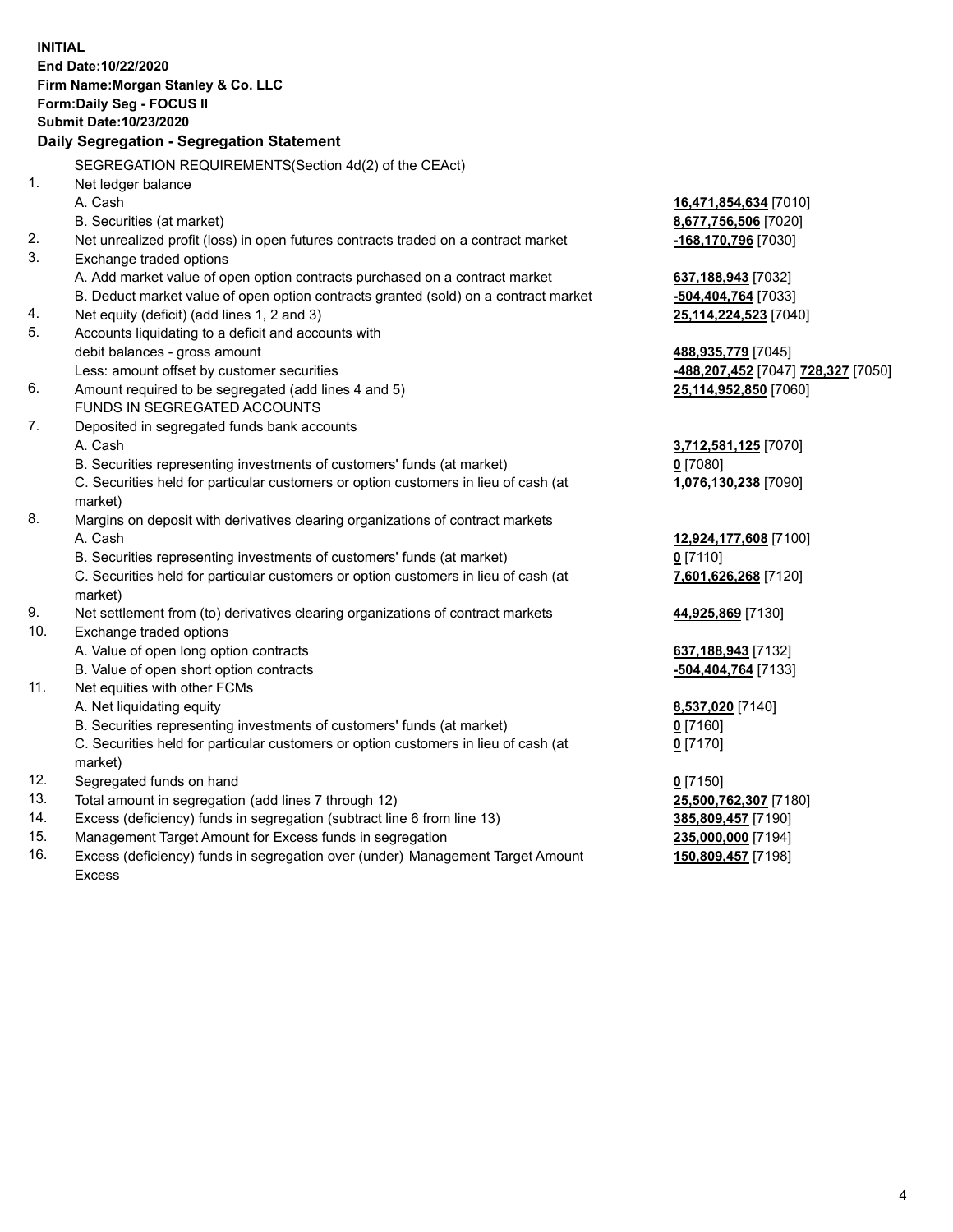|     | <b>INITIAL</b><br>End Date:10/22/2020<br>Firm Name: Morgan Stanley & Co. LLC<br>Form: Daily Seg - FOCUS II<br><b>Submit Date: 10/23/2020</b> |                                                              |
|-----|----------------------------------------------------------------------------------------------------------------------------------------------|--------------------------------------------------------------|
|     | Daily Segregation - Segregation Statement                                                                                                    |                                                              |
|     | SEGREGATION REQUIREMENTS(Section 4d(2) of the CEAct)                                                                                         |                                                              |
| 1.  | Net ledger balance                                                                                                                           |                                                              |
|     | A. Cash                                                                                                                                      | 16,471,854,634 [7010]                                        |
|     | B. Securities (at market)                                                                                                                    | 8,677,756,506 [7020]                                         |
| 2.  | Net unrealized profit (loss) in open futures contracts traded on a contract market                                                           | -168,170,796 [7030]                                          |
| 3.  | Exchange traded options                                                                                                                      |                                                              |
|     | A. Add market value of open option contracts purchased on a contract market                                                                  | 637, 188, 943 [7032]                                         |
|     | B. Deduct market value of open option contracts granted (sold) on a contract market                                                          | -504,404,764 [7033]                                          |
| 4.  | Net equity (deficit) (add lines 1, 2 and 3)                                                                                                  | 25,114,224,523 [7040]                                        |
| 5.  | Accounts liquidating to a deficit and accounts with                                                                                          |                                                              |
|     | debit balances - gross amount                                                                                                                | 488,935,779 [7045]                                           |
| 6.  | Less: amount offset by customer securities                                                                                                   | <mark>-488,207,452</mark> [7047] <mark>728,327</mark> [7050] |
|     | Amount required to be segregated (add lines 4 and 5)<br>FUNDS IN SEGREGATED ACCOUNTS                                                         | 25,114,952,850 [7060]                                        |
| 7.  | Deposited in segregated funds bank accounts                                                                                                  |                                                              |
|     | A. Cash                                                                                                                                      | 3,712,581,125 [7070]                                         |
|     | B. Securities representing investments of customers' funds (at market)                                                                       | $0$ [7080]                                                   |
|     | C. Securities held for particular customers or option customers in lieu of cash (at                                                          | 1,076,130,238 [7090]                                         |
|     | market)                                                                                                                                      |                                                              |
| 8.  | Margins on deposit with derivatives clearing organizations of contract markets                                                               |                                                              |
|     | A. Cash                                                                                                                                      | 12,924,177,608 [7100]                                        |
|     | B. Securities representing investments of customers' funds (at market)                                                                       | $0$ [7110]                                                   |
|     | C. Securities held for particular customers or option customers in lieu of cash (at                                                          | 7,601,626,268 [7120]                                         |
|     | market)                                                                                                                                      |                                                              |
| 9.  | Net settlement from (to) derivatives clearing organizations of contract markets                                                              | 44,925,869 [7130]                                            |
| 10. | Exchange traded options                                                                                                                      |                                                              |
|     | A. Value of open long option contracts                                                                                                       | 637, 188, 943 [7132]                                         |
|     | B. Value of open short option contracts                                                                                                      | -504,404,764 [7133]                                          |
| 11. | Net equities with other FCMs                                                                                                                 |                                                              |
|     | A. Net liquidating equity                                                                                                                    | 8,537,020 [7140]                                             |
|     | B. Securities representing investments of customers' funds (at market)                                                                       | $0$ [7160]                                                   |
|     | C. Securities held for particular customers or option customers in lieu of cash (at                                                          | $0$ [7170]                                                   |
|     | market)                                                                                                                                      |                                                              |
| 12. | Segregated funds on hand                                                                                                                     | $0$ [7150]                                                   |
| 13. | Total amount in segregation (add lines 7 through 12)                                                                                         | 25,500,762,307 [7180]                                        |
| 14. | Excess (deficiency) funds in segregation (subtract line 6 from line 13)                                                                      | 385,809,457 [7190]                                           |
| 15. | Management Target Amount for Excess funds in segregation                                                                                     | 235,000,000 [7194]                                           |
| 16. | Excess (deficiency) funds in segregation over (under) Management Target Amount                                                               | 150,809,457 [7198]                                           |

16. Excess (deficiency) funds in segregation over (under) Management Target Amount Excess